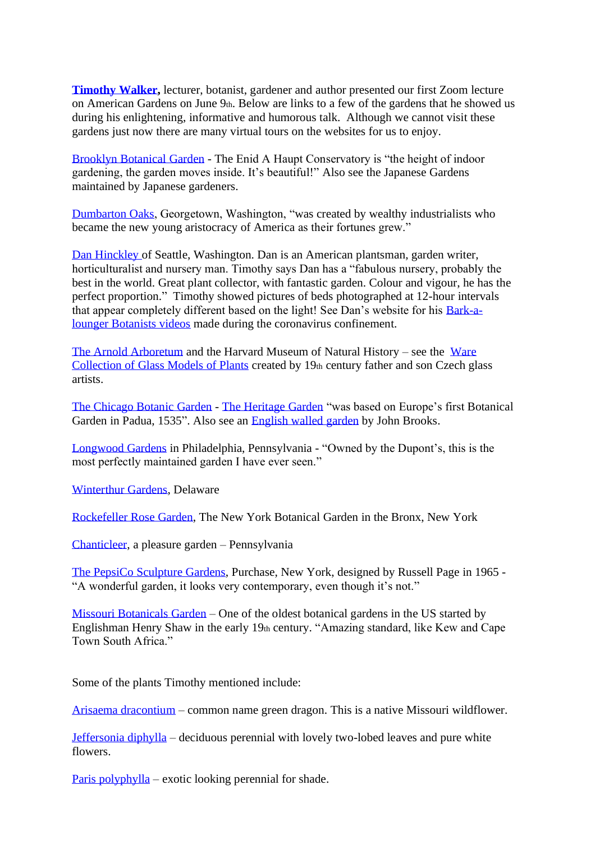**[Timothy Walker,](http://www.timothywalker.org.uk/)** lecturer, botanist, gardener and author presented our first Zoom lecture on American Gardens on June 9th. Below are links to a few of the gardens that he showed us during his enlightening, informative and humorous talk. Although we cannot visit these gardens just now there are many virtual tours on the websites for us to enjoy.

[Brooklyn Botanical Garden](https://www.nybg.org/garden/conservatory/palm-dome-restoration/) - The Enid A Haupt Conservatory is "the height of indoor gardening, the garden moves inside. It's beautiful!" Also see the Japanese Gardens maintained by Japanese gardeners.

[Dumbarton Oaks,](https://www.doaks.org/) Georgetown, Washington, "was created by wealthy industrialists who became the new young aristocracy of America as their fortunes grew."

[Dan Hinckley](https://danieljhinkley.com/) of Seattle, Washington. Dan is an American plantsman, garden writer, horticulturalist and nursery man. Timothy says Dan has a "fabulous nursery, probably the best in the world. Great plant collector, with fantastic garden. Colour and vigour, he has the perfect proportion." Timothy showed pictures of beds photographed at 12-hour intervals that appear completely different based on the light! See Dan's website for his [Bark-a](https://danieljhinkley.com/journal/)[lounger Botanists videos](https://danieljhinkley.com/journal/) made during the coronavirus confinement.

[The Arnold Arboretum](https://www.arboretum.harvard.edu/) and the Harvard Museum of Natural History – see the [Ware](https://hmnh.harvard.edu/glass-flowers)  [Collection of Glass Models of Plants](https://hmnh.harvard.edu/glass-flowers) created by 19th century father and son Czech glass artists.

[The Chicago Botanic Garden](https://www.chicagobotanic.org/) - [The Heritage Garden](https://www.chicagobotanic.org/gardens/heritage) "was based on Europe's first Botanical Garden in Padua, 1535". Also see an [English walled garden](https://www.chicagobotanic.org/gardens/englishwalled) by John Brooks.

[Longwood Gardens](https://longwoodgardens.org/our-gardens-your-home?gclid=Cj0KCQjwz4z3BRCgARIsAES_OVcNqcZuLV8xzP9W8Rdh_WYO7seN-auBv6bEkoVzAd-LV1Qg417kodcaAmbbEALw_wcB&gclsrc=aw.ds) in Philadelphia, Pennsylvania - "Owned by the Dupont's, this is the most perfectly maintained garden I have ever seen."

[Winterthur](http://www.winterthur.org/) Gardens, Delaware

[Rockefeller Rose Garden,](https://www.nybg.org/garden/rose-garden/) The New York Botanical Garden in the Bronx, New York

[Chanticleer,](https://www.chanticleergarden.org/) a pleasure garden – Pennsylvania

[The PepsiCo Sculpture Gardens,](https://www.pepsico.com/sculpture-gardens) Purchase, New York, designed by Russell Page in 1965 - "A wonderful garden, it looks very contemporary, even though it's not."

[Missouri Botanicals Garden](https://www.missouribotanicalgarden.org/) – One of the oldest botanical gardens in the US started by Englishman Henry Shaw in the early 19th century. "Amazing standard, like Kew and Cape Town South Africa."

Some of the plants Timothy mentioned include:

[Arisaema dracontium](http://www.missouribotanicalgarden.org/PlantFinder/PlantFinderDetails.aspx?kempercode=j390) – common name green dragon. This is a native Missouri wildflower.

[Jeffersonia diphylla](https://www.rhs.org.uk/Plants/9470/Jeffersonia-diphylla/Details) – deciduous perennial with lovely two-lobed leaves and pure white flowers.

[Paris polyphylla](https://www.bethchatto.co.uk/plants-for-shade-conditions/paris-polyphylla.htm) – exotic looking perennial for shade.